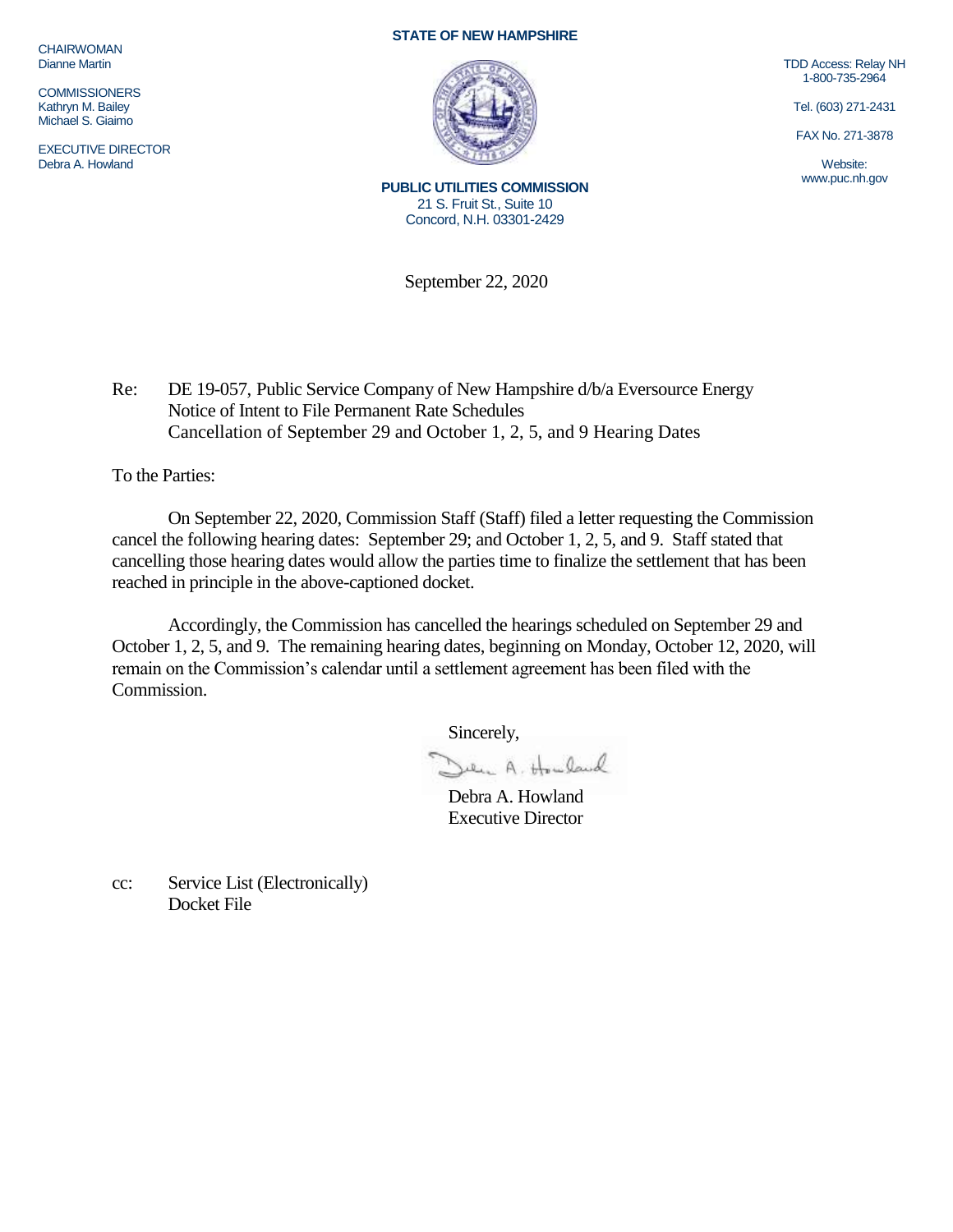**CHAIRWOMAN** Dianne Martin

**COMMISSIONERS** Kathryn M. Bailey Michael S. Giaimo

EXECUTIVE DIRECTOR Debra A. Howland

## **STATE OF NEW HAMPSHIRE**



**PUBLIC UTILITIES COMMISSION** 21 S. Fruit St., Suite 10 Concord, N.H. 03301-2429

September 22, 2020

TDD Access: Relay NH 1-800-735-2964

Tel. (603) 271-2431

FAX No. 271-3878

Website: www.puc.nh.gov

Re: DE 19-057, Public Service Company of New Hampshire d/b/a Eversource Energy Notice of Intent to File Permanent Rate Schedules Cancellation of September 29 and October 1, 2, 5, and 9 Hearing Dates

To the Parties:

On September 22, 2020, Commission Staff (Staff) filed a letter requesting the Commission cancel the following hearing dates: September 29; and October 1, 2, 5, and 9. Staff stated that cancelling those hearing dates would allow the parties time to finalize the settlement that has been reached in principle in the above-captioned docket.

Accordingly, the Commission has cancelled the hearings scheduled on September 29 and October 1, 2, 5, and 9. The remaining hearing dates, beginning on Monday, October 12, 2020, will remain on the Commission's calendar until a settlement agreement has been filed with the Commission.

Sincerely,

Jen A. Howland

Debra A. Howland Executive Director

cc: Service List (Electronically) Docket File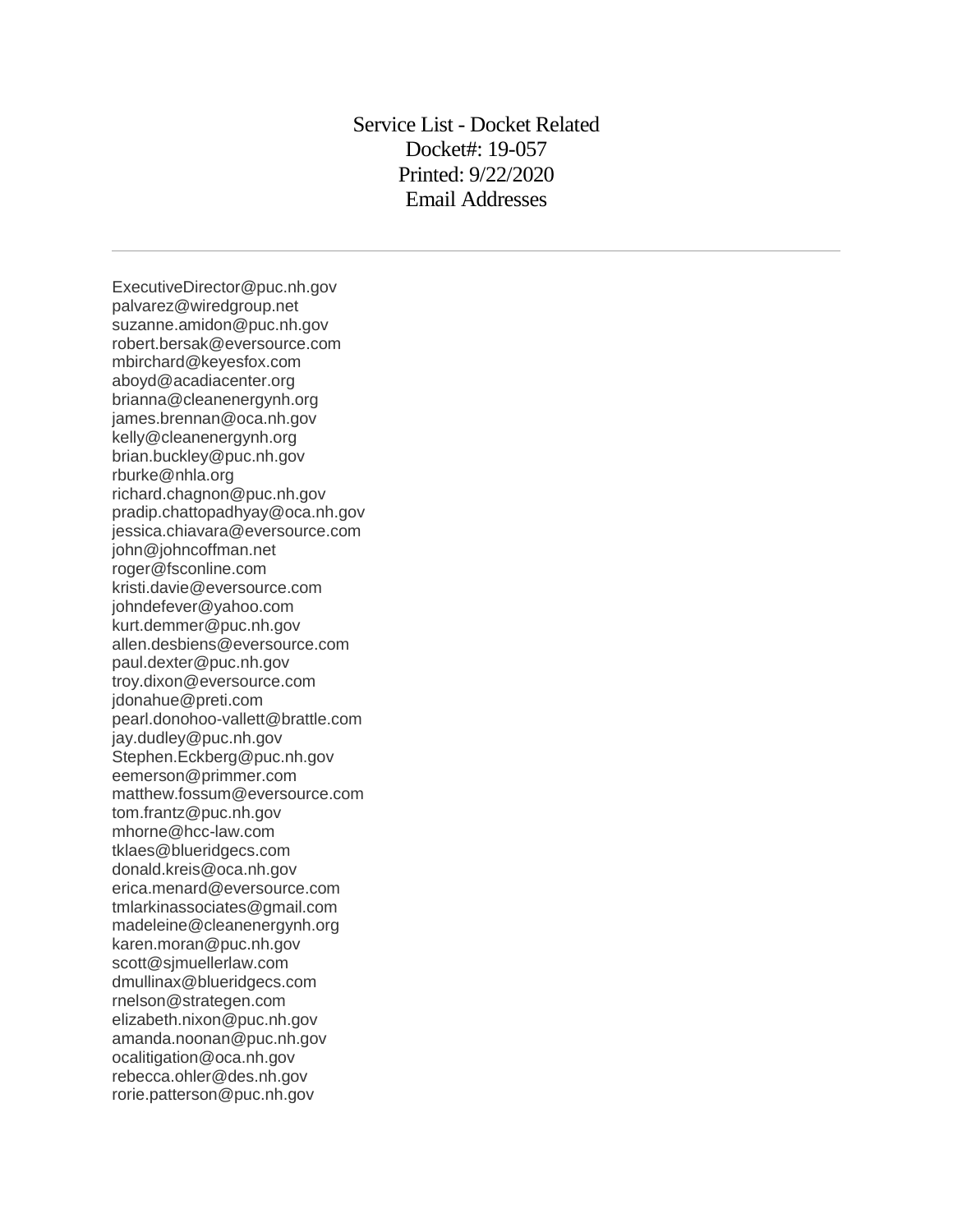Service List - Docket Related Docket#: 19-057 Printed: 9/22/2020 Email Addresses

ExecutiveDirector@puc.nh.gov palvarez@wiredgroup.net suzanne.amidon@puc.nh.gov robert.bersak@eversource.com mbirchard@keyesfox.com aboyd@acadiacenter.org brianna@cleanenergynh.org james.brennan@oca.nh.gov kelly@cleanenergynh.org brian.buckley@puc.nh.gov rburke@nhla.org richard.chagnon@puc.nh.gov pradip.chattopadhyay@oca.nh.gov jessica.chiavara@eversource.com john@johncoffman.net roger@fsconline.com kristi.davie@eversource.com johndefever@yahoo.com kurt.demmer@puc.nh.gov allen.desbiens@eversource.com paul.dexter@puc.nh.gov troy.dixon@eversource.com jdonahue@preti.com pearl.donohoo-vallett@brattle.com jay.dudley@puc.nh.gov Stephen.Eckberg@puc.nh.gov eemerson@primmer.com matthew.fossum@eversource.com tom.frantz@puc.nh.gov mhorne@hcc-law.com tklaes@blueridgecs.com donald.kreis@oca.nh.gov erica.menard@eversource.com tmlarkinassociates@gmail.com madeleine@cleanenergynh.org karen.moran@puc.nh.gov scott@sjmuellerlaw.com dmullinax@blueridgecs.com rnelson@strategen.com elizabeth.nixon@puc.nh.gov amanda.noonan@puc.nh.gov ocalitigation@oca.nh.gov rebecca.ohler@des.nh.gov rorie.patterson@puc.nh.gov